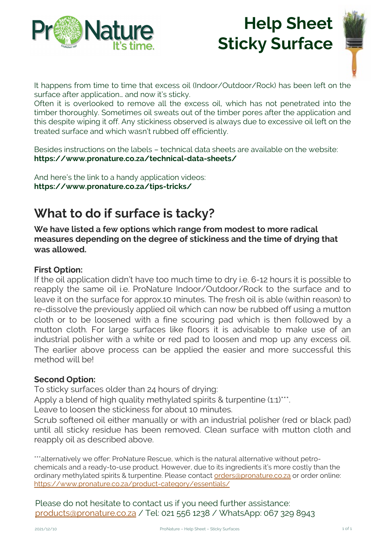

# **Help Sheet Sticky Surface**



It happens from time to time that excess oil (Indoor/Outdoor/Rock) has been left on the surface after application… and now it's sticky.

Often it is overlooked to remove all the excess oil, which has not penetrated into the timber thoroughly. Sometimes oil sweats out of the timber pores after the application and this despite wiping it off. Any stickiness observed is always due to excessive oil left on the treated surface and which wasn't rubbed off efficiently.

Besides instructions on the labels – technical data sheets are available on the website: **https://www.pronature.co.za/technical-data-sheets/**

And here's the link to a handy application videos: **https://www.pronature.co.za/tips-tricks/**

# **What to do if surface is tacky?**

**We have listed a few options which range from modest to more radical measures depending on the degree of stickiness and the time of drying that was allowed.**

### **First Option:**

If the oil application didn't have too much time to dry i.e. 6-12 hours it is possible to reapply the same oil i.e. ProNature Indoor/Outdoor/Rock to the surface and to leave it on the surface for approx.10 minutes. The fresh oil is able (within reason) to re-dissolve the previously applied oil which can now be rubbed off using a mutton cloth or to be loosened with a fine scouring pad which is then followed by a mutton cloth. For large surfaces like floors it is advisable to make use of an industrial polisher with a white or red pad to loosen and mop up any excess oil. The earlier above process can be applied the easier and more successful this method will be!

### **Second Option:**

To sticky surfaces older than 24 hours of drying:

Apply a blend of high quality methylated spirits & turpentine (1:1)\*\*\*.

Leave to loosen the stickiness for about 10 minutes.

Scrub softened oil either manually or with an industrial polisher (red or black pad) until all sticky residue has been removed. Clean surface with mutton cloth and reapply oil as described above.

\*\*\*alternatively we offer: ProNature Rescue, which is the natural alternative without petrochemicals and a ready-to-use product. However, due t[o its ingredients it's more](mailto:orders@pronature.co.za) costly than the [ordinary methylated spirits & turpentine. Please contact order](https://www.pronature.co.za/product-category/essentials/)s@pronature.co.za or order online: https://www.pronature.co.za/product-category/essentials/

[Please do not hesitate to c](mailto:products@pronature.co.za)ontact us if you need further assistance: products@pronature.co.za / Tel: 021 556 1238 / WhatsApp: 067 329 8943